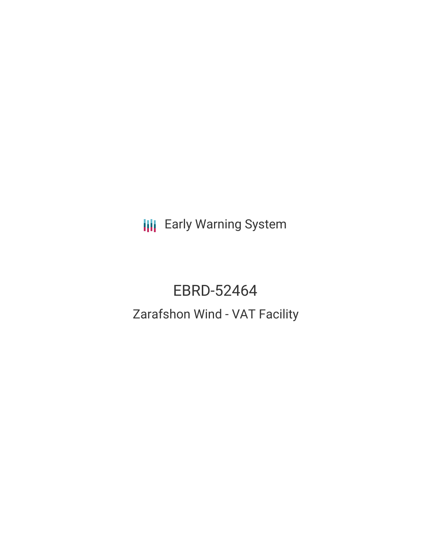**III** Early Warning System

# EBRD-52464 Zarafshon Wind - VAT Facility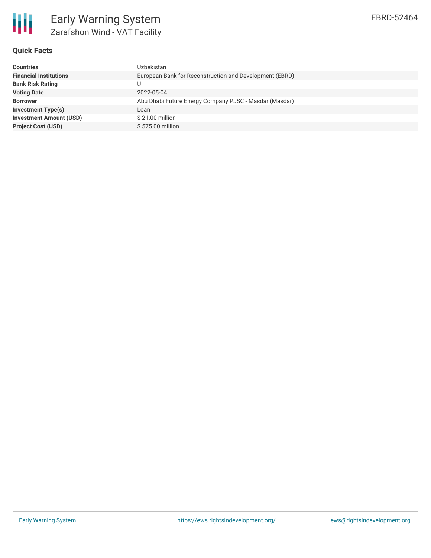

# **Quick Facts**

| <b>Countries</b>               | Uzbekistan                                              |  |  |  |
|--------------------------------|---------------------------------------------------------|--|--|--|
| <b>Financial Institutions</b>  | European Bank for Reconstruction and Development (EBRD) |  |  |  |
| <b>Bank Risk Rating</b>        | U                                                       |  |  |  |
| <b>Voting Date</b>             | 2022-05-04                                              |  |  |  |
| <b>Borrower</b>                | Abu Dhabi Future Energy Company PJSC - Masdar (Masdar)  |  |  |  |
| <b>Investment Type(s)</b>      | Loan                                                    |  |  |  |
| <b>Investment Amount (USD)</b> | $$21.00$ million                                        |  |  |  |
| <b>Project Cost (USD)</b>      | \$575.00 million                                        |  |  |  |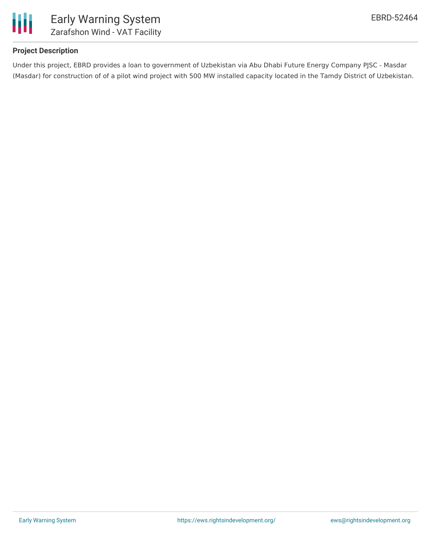

# **Project Description**

Under this project, EBRD provides a loan to government of Uzbekistan via Abu Dhabi Future Energy Company PJSC - Masdar (Masdar) for construction of of a pilot wind project with 500 MW installed capacity located in the Tamdy District of Uzbekistan.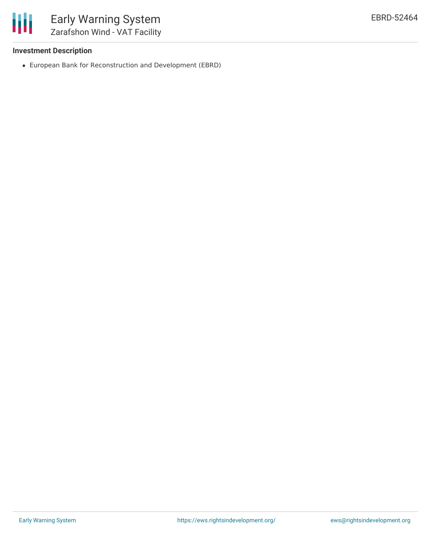

# **Investment Description**

European Bank for Reconstruction and Development (EBRD)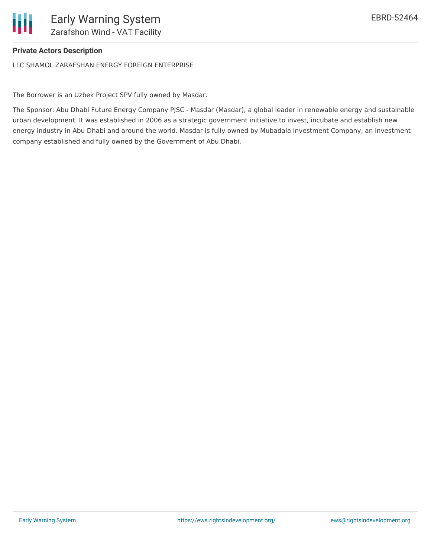# **Private Actors Description**

LLC SHAMOL ZARAFSHAN ENERGY FOREIGN ENTERPRISE

The Borrower is an Uzbek Project SPV fully owned by Masdar.

The Sponsor: Abu Dhabi Future Energy Company PJSC - Masdar (Masdar), a global leader in renewable energy and sustainable urban development. It was established in 2006 as a strategic government initiative to invest, incubate and establish new energy industry in Abu Dhabi and around the world. Masdar is fully owned by Mubadala Investment Company, an investment company established and fully owned by the Government of Abu Dhabi.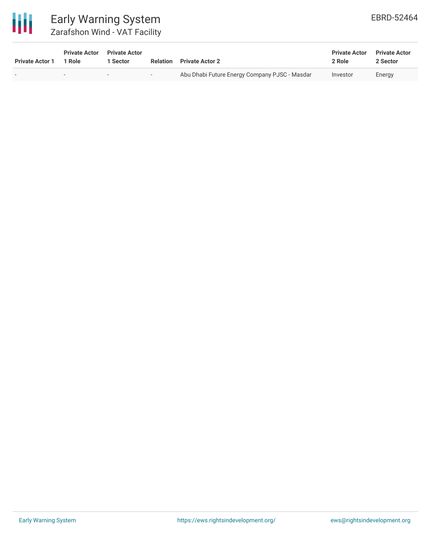

# Early Warning System Zarafshon Wind - VAT Facility

| <b>Private Actor 1</b> | <b>Private Actor</b><br>1 Role | <b>Private Actor</b><br><b>Sector</b> | <b>Relation</b> | <b>Private Actor 2</b>                        | <b>Private Actor</b><br>2 Role | <b>Private Actor</b><br>2 Sector |
|------------------------|--------------------------------|---------------------------------------|-----------------|-----------------------------------------------|--------------------------------|----------------------------------|
|                        | $\overline{\phantom{a}}$       | $\overline{\phantom{0}}$              | $-$             | Abu Dhabi Future Energy Company PJSC - Masdar | Investor                       | Energy                           |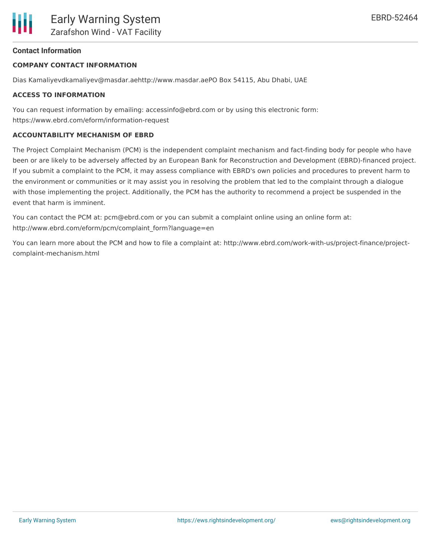#### **Contact Information**

#### **COMPANY CONTACT INFORMATION**

Dias Kamaliyevdkamaliyev@masdar.aehttp://www.masdar.aePO Box 54115, Abu Dhabi, UAE

#### **ACCESS TO INFORMATION**

You can request information by emailing: accessinfo@ebrd.com or by using this electronic form: https://www.ebrd.com/eform/information-request

#### **ACCOUNTABILITY MECHANISM OF EBRD**

The Project Complaint Mechanism (PCM) is the independent complaint mechanism and fact-finding body for people who have been or are likely to be adversely affected by an European Bank for Reconstruction and Development (EBRD)-financed project. If you submit a complaint to the PCM, it may assess compliance with EBRD's own policies and procedures to prevent harm to the environment or communities or it may assist you in resolving the problem that led to the complaint through a dialogue with those implementing the project. Additionally, the PCM has the authority to recommend a project be suspended in the event that harm is imminent.

You can contact the PCM at: pcm@ebrd.com or you can submit a complaint online using an online form at: http://www.ebrd.com/eform/pcm/complaint\_form?language=en

You can learn more about the PCM and how to file a complaint at: http://www.ebrd.com/work-with-us/project-finance/projectcomplaint-mechanism.html